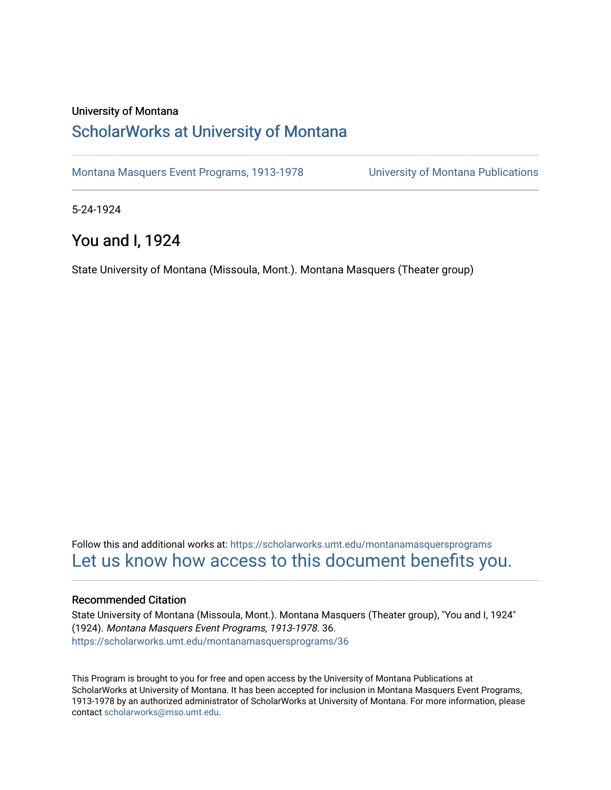### University of Montana

## [ScholarWorks at University of Montana](https://scholarworks.umt.edu/)

[Montana Masquers Event Programs, 1913-1978](https://scholarworks.umt.edu/montanamasquersprograms) [University of Montana Publications](https://scholarworks.umt.edu/umpubs) 

5-24-1924

## You and I, 1924

State University of Montana (Missoula, Mont.). Montana Masquers (Theater group)

Follow this and additional works at: [https://scholarworks.umt.edu/montanamasquersprograms](https://scholarworks.umt.edu/montanamasquersprograms?utm_source=scholarworks.umt.edu%2Fmontanamasquersprograms%2F36&utm_medium=PDF&utm_campaign=PDFCoverPages) [Let us know how access to this document benefits you.](https://goo.gl/forms/s2rGfXOLzz71qgsB2) 

### Recommended Citation

State University of Montana (Missoula, Mont.). Montana Masquers (Theater group), "You and I, 1924" (1924). Montana Masquers Event Programs, 1913-1978. 36. [https://scholarworks.umt.edu/montanamasquersprograms/36](https://scholarworks.umt.edu/montanamasquersprograms/36?utm_source=scholarworks.umt.edu%2Fmontanamasquersprograms%2F36&utm_medium=PDF&utm_campaign=PDFCoverPages) 

This Program is brought to you for free and open access by the University of Montana Publications at ScholarWorks at University of Montana. It has been accepted for inclusion in Montana Masquers Event Programs, 1913-1978 by an authorized administrator of ScholarWorks at University of Montana. For more information, please contact [scholarworks@mso.umt.edu](mailto:scholarworks@mso.umt.edu).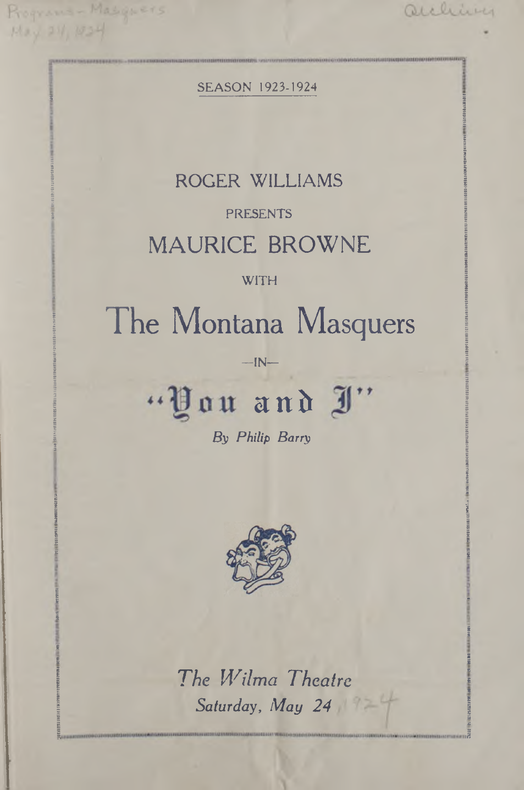**SEASON 1923-1924** 

auching

Programs - Masquers

Hay 24, 1824

## ROGER WILLIAMS

## **PRESENTS**

## **MAURICE BROWNE**

### WITH

## The Montana Masquers

 $-IN-$ 

# "You and J"

By Philip Barry



The Wilma Theatre Saturday, May 24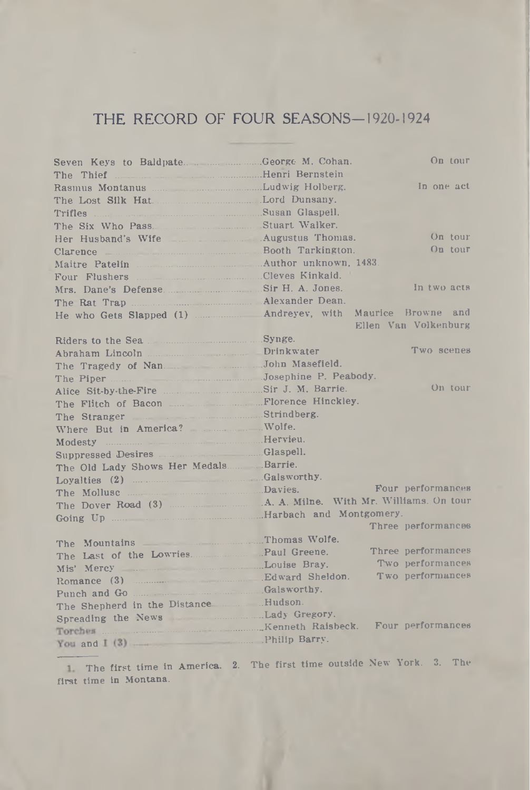### THE RECORD OF FOUR SEASONS—1920-1924

| Seven Keys to Baldpate. George M. Cohan.                                       |  | On tour              |
|--------------------------------------------------------------------------------|--|----------------------|
| The Thief <b>Excession Commission</b> Henri Bernstein                          |  |                      |
|                                                                                |  | In one act           |
| The Lost Silk Hat. Lord Dunsany.                                               |  |                      |
|                                                                                |  |                      |
| The Six Who Pass. Stuart Walker.                                               |  |                      |
| Her Husband's Wife Augustus Thomas.                                            |  | On tour              |
| Clarence Booth Tarkington.                                                     |  | On tour              |
| Maitre Patelin Maitre Patelin Author unknown, 1483.                            |  |                      |
|                                                                                |  |                      |
|                                                                                |  | In two acts          |
|                                                                                |  |                      |
| He who Gets Slapped (1) <b>Andreyev</b> , with Maurice Browne and              |  |                      |
|                                                                                |  | Ellen Van Volkenburg |
| Riders to the Sea Synge.                                                       |  |                      |
|                                                                                |  | Two scenes           |
| The Tragedy of Nan Masefield.                                                  |  |                      |
| The Piper Josephine P. Peabody.                                                |  |                      |
|                                                                                |  | On tour              |
| The Flitch of Bacon Florence Hinckley.                                         |  |                      |
| The Stranger Strindberg.                                                       |  |                      |
| Where But in America? Wolfe.                                                   |  |                      |
| Modesty <b>Modesty Modesty Modesty Modesty Modesty Modesty Modesty Modesty</b> |  |                      |
|                                                                                |  |                      |
| The Old Lady Shows Her Medals Barrie.                                          |  |                      |
| Loyalties (2) Calsworthy.                                                      |  |                      |
| The Mollusc <b>Example 20</b> Davies.                                          |  | Four performances    |
| The Dover Road (3) A. A. Milne. With Mr. Williams. On tour                     |  |                      |
|                                                                                |  |                      |
|                                                                                |  | Three performances   |
|                                                                                |  |                      |
| The Mountains Thomas Wolfe.                                                    |  | Three performances   |
| The Last of the Lowries. Paul Greene.                                          |  | Two performances     |
| Mis' Mercy Louise Bray.                                                        |  | Two performances     |
|                                                                                |  |                      |
|                                                                                |  |                      |
|                                                                                |  |                      |
| Spreading the News Lady Gregory.                                               |  |                      |
|                                                                                |  |                      |
| the company of the company of the                                              |  |                      |

The first time in America. 2. The first time outside New' York. 3. The first time in Montana.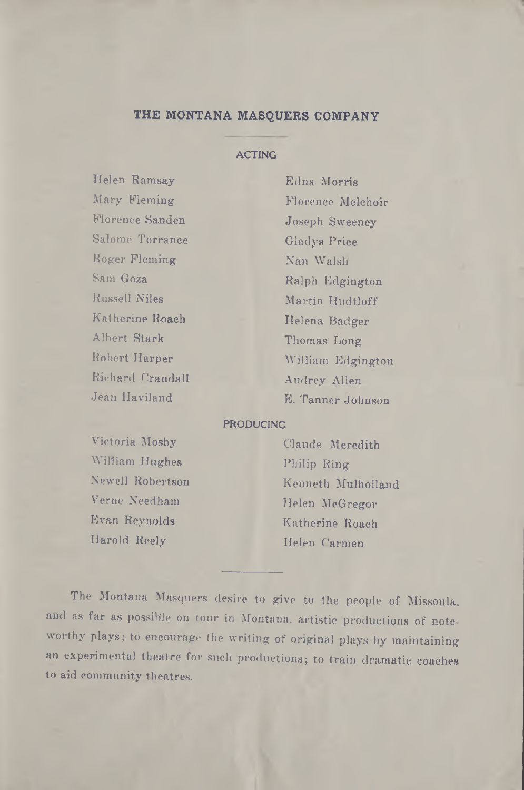### **THE MONTANA MASQUERS COMPANY**

### **ACTING**

Helen Ramsay Edna Morris Florence Sanden Joseph Sweeney Salome Torrance Gladys Price Roger Fleming Nan Walsh Sam Goza Ralph Edgington Russell Niles Martin Hudtloff Katherine Roach Helena Badger Albert Stark Thomas Long Richard Crandall Audrey Allen

Mary Fleming Florence Melchoir Robert Harper William Edgington Jean Haviland E. Tanner Johnson

#### PRODUCING

Victoria Mosby Claude Meredith William Hughes Philip Ring Verne Needham Helen McGregor Evan Reynolds Katherine Roach

Newell Robertson Kenneth Mulholland Harold Reely **Helen** Carmen

The Montana Masquers desire to give to the people of Missoula, and as far as possible on tour in Montana, artistic productions of noteworthy plays; to encourage the writing of original plays by maintaining an experimental theatre for such productions; to train dramatic coaches to aid community theatres.